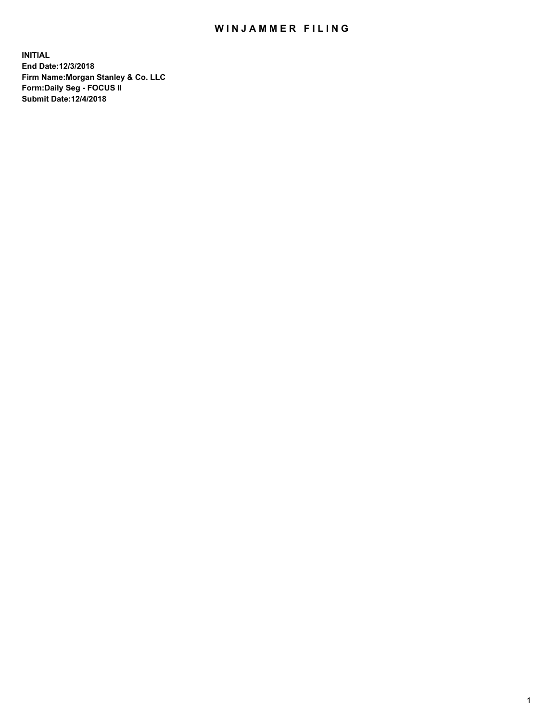## WIN JAMMER FILING

**INITIAL End Date:12/3/2018 Firm Name:Morgan Stanley & Co. LLC Form:Daily Seg - FOCUS II Submit Date:12/4/2018**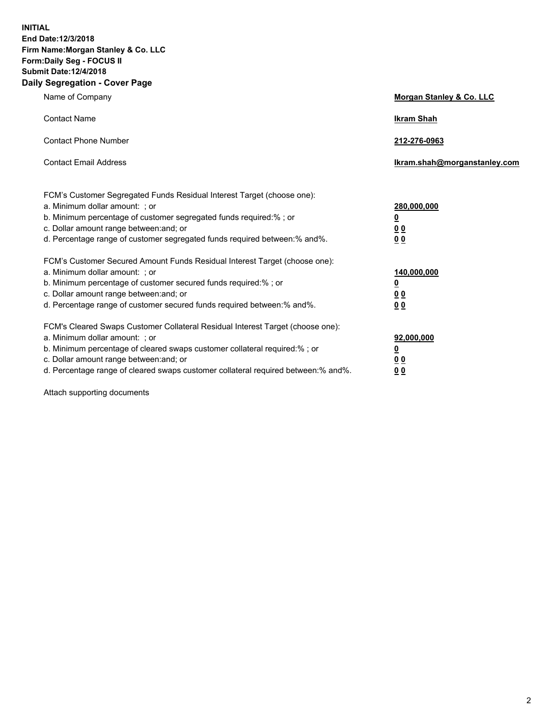**INITIAL End Date:12/3/2018 Firm Name:Morgan Stanley & Co. LLC Form:Daily Seg - FOCUS II Submit Date:12/4/2018 Daily Segregation - Cover Page**

| Name of Company                                                                   | Morgan Stanley & Co. LLC     |
|-----------------------------------------------------------------------------------|------------------------------|
| <b>Contact Name</b>                                                               | <b>Ikram Shah</b>            |
| <b>Contact Phone Number</b>                                                       | 212-276-0963                 |
| <b>Contact Email Address</b>                                                      | Ikram.shah@morganstanley.com |
| FCM's Customer Segregated Funds Residual Interest Target (choose one):            |                              |
| a. Minimum dollar amount: ; or                                                    | 280,000,000                  |
| b. Minimum percentage of customer segregated funds required:% ; or                | <u>0</u>                     |
| c. Dollar amount range between: and; or                                           | <u>0 0</u>                   |
| d. Percentage range of customer segregated funds required between: % and %.       | 0 Q                          |
| FCM's Customer Secured Amount Funds Residual Interest Target (choose one):        |                              |
| a. Minimum dollar amount: ; or                                                    | 140,000,000                  |
| b. Minimum percentage of customer secured funds required:%; or                    | <u>0</u>                     |
| c. Dollar amount range between: and; or                                           | 0 <sub>0</sub>               |
| d. Percentage range of customer secured funds required between:% and%.            | 0 <sub>0</sub>               |
| FCM's Cleared Swaps Customer Collateral Residual Interest Target (choose one):    |                              |
| a. Minimum dollar amount: ; or                                                    | 92,000,000                   |
| b. Minimum percentage of cleared swaps customer collateral required:% ; or        | <u>0</u>                     |
| c. Dollar amount range between: and; or                                           | 0 Q                          |
| d. Percentage range of cleared swaps customer collateral required between:% and%. | 00                           |

Attach supporting documents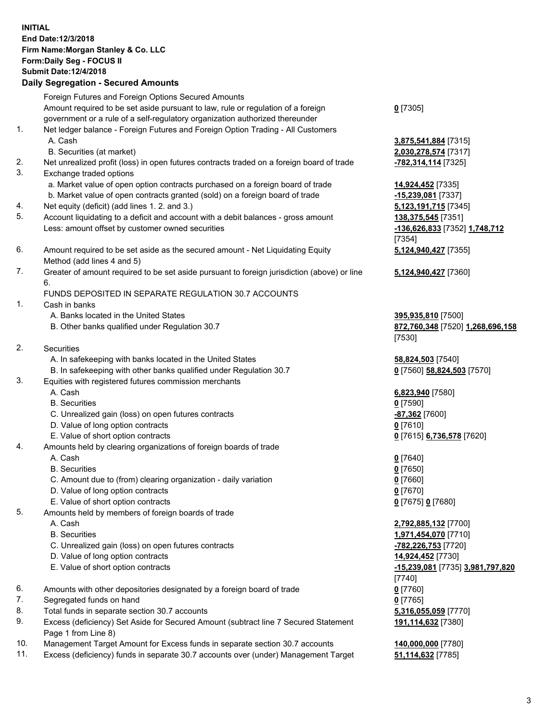## **INITIAL End Date:12/3/2018 Firm Name:Morgan Stanley & Co. LLC Form:Daily Seg - FOCUS II Submit Date:12/4/2018 Daily Segregation - Secured Amounts** Foreign Futures and Foreign Options Secured Amounts

Amount required to be set aside pursuant to law, rule or regulation of a foreign government or a rule of a self-regulatory organization authorized thereunder

- 1. Net ledger balance Foreign Futures and Foreign Option Trading All Customers A. Cash **3,875,541,884** [7315]
	- B. Securities (at market) **2,030,278,574** [7317]
- 2. Net unrealized profit (loss) in open futures contracts traded on a foreign board of trade **-782,314,114** [7325]
- 3. Exchange traded options
	- a. Market value of open option contracts purchased on a foreign board of trade **14,924,452** [7335]
	- b. Market value of open contracts granted (sold) on a foreign board of trade **-15,239,081** [7337]
- 4. Net equity (deficit) (add lines 1. 2. and 3.) **5,123,191,715** [7345]
- 5. Account liquidating to a deficit and account with a debit balances gross amount **138,375,545** [7351] Less: amount offset by customer owned securities **-136,626,833** [7352] **1,748,712**
- 6. Amount required to be set aside as the secured amount Net Liquidating Equity Method (add lines 4 and 5)
- 7. Greater of amount required to be set aside pursuant to foreign jurisdiction (above) or line 6.

## FUNDS DEPOSITED IN SEPARATE REGULATION 30.7 ACCOUNTS

- 1. Cash in banks
	- A. Banks located in the United States **395,935,810** [7500]
	- B. Other banks qualified under Regulation 30.7 **872,760,348** [7520] **1,268,696,158**
- 2. Securities
	- A. In safekeeping with banks located in the United States **58,824,503** [7540]
	- B. In safekeeping with other banks qualified under Regulation 30.7 **0** [7560] **58,824,503** [7570]
- 3. Equities with registered futures commission merchants
	-
	- B. Securities **0** [7590]
	- C. Unrealized gain (loss) on open futures contracts **-87,362** [7600]
	- D. Value of long option contracts **0** [7610]
- E. Value of short option contracts **0** [7615] **6,736,578** [7620]
- 4. Amounts held by clearing organizations of foreign boards of trade
	- A. Cash **0** [7640]
	- B. Securities **0** [7650]
	- C. Amount due to (from) clearing organization daily variation **0** [7660]
	- D. Value of long option contracts **0** [7670]
	- E. Value of short option contracts **0** [7675] **0** [7680]
- 5. Amounts held by members of foreign boards of trade
	-
	-
	- C. Unrealized gain (loss) on open futures contracts **-782,226,753** [7720]
	- D. Value of long option contracts **14,924,452** [7730]
	- E. Value of short option contracts **-15,239,081** [7735] **3,981,797,820**
- 6. Amounts with other depositories designated by a foreign board of trade **0** [7760]
- 7. Segregated funds on hand **0** [7765]
- 8. Total funds in separate section 30.7 accounts **5,316,055,059** [7770]
- 9. Excess (deficiency) Set Aside for Secured Amount (subtract line 7 Secured Statement Page 1 from Line 8)
- 10. Management Target Amount for Excess funds in separate section 30.7 accounts **140,000,000** [7780]
- 11. Excess (deficiency) funds in separate 30.7 accounts over (under) Management Target **51,114,632** [7785]

**0** [7305]

[7354] **5,124,940,427** [7355]

**5,124,940,427** [7360]

[7530]

A. Cash **6,823,940** [7580]

 A. Cash **2,792,885,132** [7700] B. Securities **1,971,454,070** [7710] [7740] **191,114,632** [7380]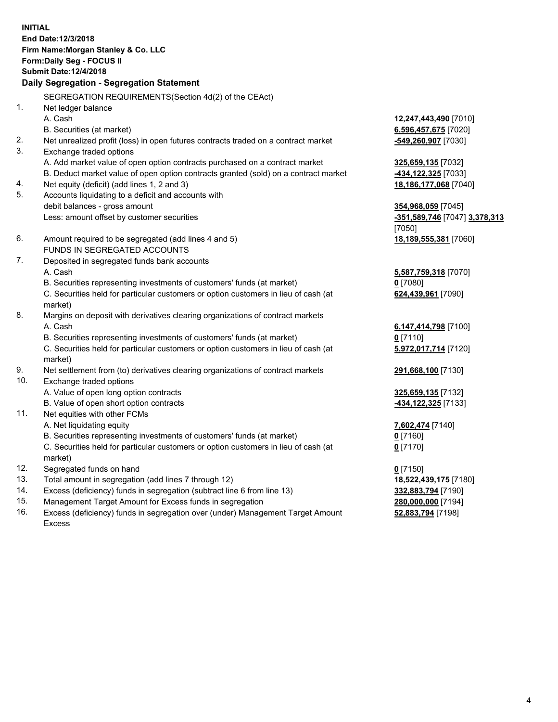**INITIAL End Date:12/3/2018 Firm Name:Morgan Stanley & Co. LLC Form:Daily Seg - FOCUS II Submit Date:12/4/2018 Daily Segregation - Segregation Statement** SEGREGATION REQUIREMENTS(Section 4d(2) of the CEAct) 1. Net ledger balance A. Cash **12,247,443,490** [7010] B. Securities (at market) **6,596,457,675** [7020] 2. Net unrealized profit (loss) in open futures contracts traded on a contract market **-549,260,907** [7030] 3. Exchange traded options A. Add market value of open option contracts purchased on a contract market **325,659,135** [7032] B. Deduct market value of open option contracts granted (sold) on a contract market **-434,122,325** [7033] 4. Net equity (deficit) (add lines 1, 2 and 3) **18,186,177,068** [7040] 5. Accounts liquidating to a deficit and accounts with debit balances - gross amount **354,968,059** [7045] Less: amount offset by customer securities **-351,589,746** [7047] **3,378,313** [7050] 6. Amount required to be segregated (add lines 4 and 5) **18,189,555,381** [7060] FUNDS IN SEGREGATED ACCOUNTS 7. Deposited in segregated funds bank accounts A. Cash **5,587,759,318** [7070] B. Securities representing investments of customers' funds (at market) **0** [7080] C. Securities held for particular customers or option customers in lieu of cash (at market) **624,439,961** [7090] 8. Margins on deposit with derivatives clearing organizations of contract markets A. Cash **6,147,414,798** [7100] B. Securities representing investments of customers' funds (at market) **0** [7110] C. Securities held for particular customers or option customers in lieu of cash (at market) **5,972,017,714** [7120] 9. Net settlement from (to) derivatives clearing organizations of contract markets **291,668,100** [7130] 10. Exchange traded options A. Value of open long option contracts **325,659,135** [7132] B. Value of open short option contracts **-434,122,325** [7133] 11. Net equities with other FCMs A. Net liquidating equity **7,602,474** [7140] B. Securities representing investments of customers' funds (at market) **0** [7160] C. Securities held for particular customers or option customers in lieu of cash (at market) **0** [7170] 12. Segregated funds on hand **0** [7150] 13. Total amount in segregation (add lines 7 through 12) **18,522,439,175** [7180] 14. Excess (deficiency) funds in segregation (subtract line 6 from line 13) **332,883,794** [7190]

- 15. Management Target Amount for Excess funds in segregation **280,000,000** [7194]
- 16. Excess (deficiency) funds in segregation over (under) Management Target Amount Excess

**52,883,794** [7198]